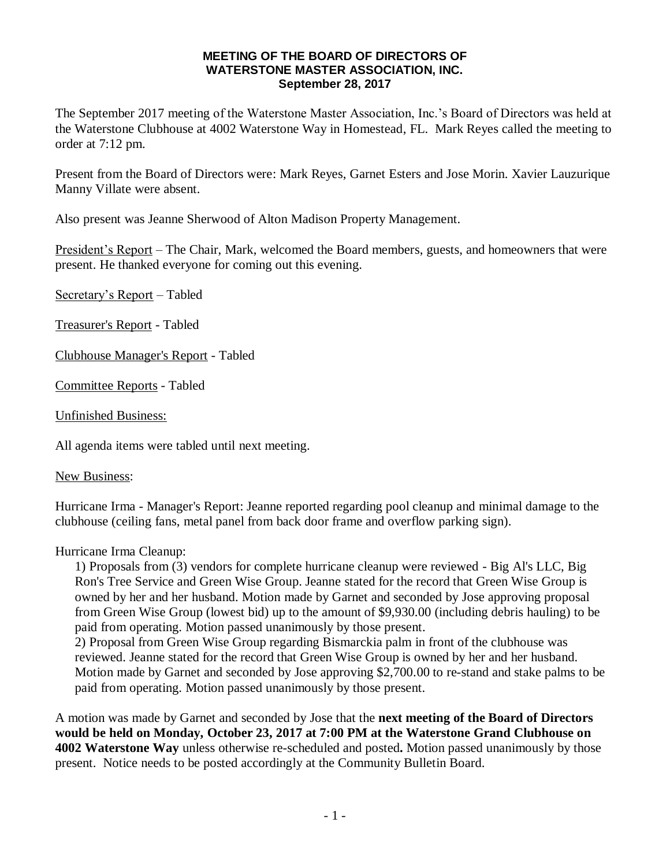## **MEETING OF THE BOARD OF DIRECTORS OF WATERSTONE MASTER ASSOCIATION, INC. September 28, 2017**

The September 2017 meeting of the Waterstone Master Association, Inc.'s Board of Directors was held at the Waterstone Clubhouse at 4002 Waterstone Way in Homestead, FL. Mark Reyes called the meeting to order at 7:12 pm.

Present from the Board of Directors were: Mark Reyes, Garnet Esters and Jose Morin. Xavier Lauzurique Manny Villate were absent.

Also present was Jeanne Sherwood of Alton Madison Property Management.

President's Report – The Chair, Mark, welcomed the Board members, guests, and homeowners that were present. He thanked everyone for coming out this evening.

Secretary's Report – Tabled

Treasurer's Report - Tabled

Clubhouse Manager's Report - Tabled

Committee Reports - Tabled

Unfinished Business:

All agenda items were tabled until next meeting.

New Business:

Hurricane Irma - Manager's Report: Jeanne reported regarding pool cleanup and minimal damage to the clubhouse (ceiling fans, metal panel from back door frame and overflow parking sign).

Hurricane Irma Cleanup:

1) Proposals from (3) vendors for complete hurricane cleanup were reviewed - Big Al's LLC, Big Ron's Tree Service and Green Wise Group. Jeanne stated for the record that Green Wise Group is owned by her and her husband. Motion made by Garnet and seconded by Jose approving proposal from Green Wise Group (lowest bid) up to the amount of \$9,930.00 (including debris hauling) to be paid from operating. Motion passed unanimously by those present.

2) Proposal from Green Wise Group regarding Bismarckia palm in front of the clubhouse was reviewed. Jeanne stated for the record that Green Wise Group is owned by her and her husband. Motion made by Garnet and seconded by Jose approving \$2,700.00 to re-stand and stake palms to be paid from operating. Motion passed unanimously by those present.

A motion was made by Garnet and seconded by Jose that the **next meeting of the Board of Directors would be held on Monday, October 23, 2017 at 7:00 PM at the Waterstone Grand Clubhouse on 4002 Waterstone Way** unless otherwise re-scheduled and posted**.** Motion passed unanimously by those present. Notice needs to be posted accordingly at the Community Bulletin Board.